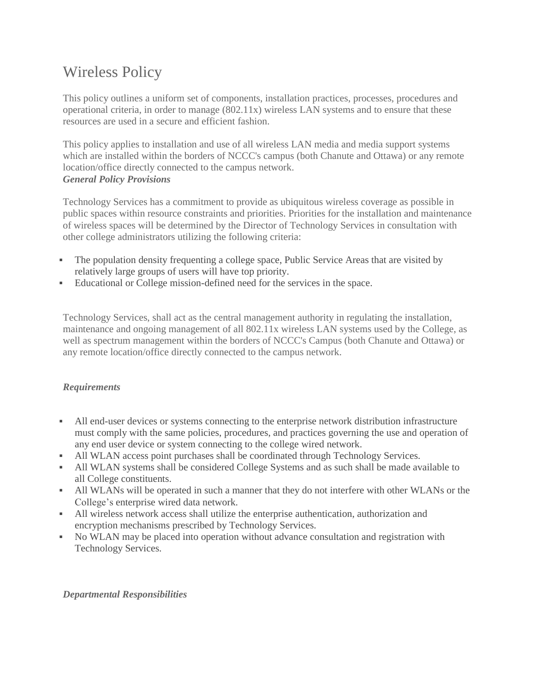# Wireless Policy

This policy outlines a uniform set of components, installation practices, processes, procedures and operational criteria, in order to manage (802.11x) wireless LAN systems and to ensure that these resources are used in a secure and efficient fashion.

This policy applies to installation and use of all wireless LAN media and media support systems which are installed within the borders of NCCC's campus (both Chanute and Ottawa) or any remote location/office directly connected to the campus network. *General Policy Provisions*

Technology Services has a commitment to provide as ubiquitous wireless coverage as possible in public spaces within resource constraints and priorities. Priorities for the installation and maintenance of wireless spaces will be determined by the Director of Technology Services in consultation with other college administrators utilizing the following criteria:

- The population density frequenting a college space, Public Service Areas that are visited by relatively large groups of users will have top priority.
- Educational or College mission-defined need for the services in the space.

Technology Services, shall act as the central management authority in regulating the installation, maintenance and ongoing management of all 802.11x wireless LAN systems used by the College, as well as spectrum management within the borders of NCCC's Campus (both Chanute and Ottawa) or any remote location/office directly connected to the campus network.

## *Requirements*

- All end-user devices or systems connecting to the enterprise network distribution infrastructure must comply with the same policies, procedures, and practices governing the use and operation of any end user device or system connecting to the college wired network.
- All WLAN access point purchases shall be coordinated through Technology Services.
- All WLAN systems shall be considered College Systems and as such shall be made available to all College constituents.
- All WLANs will be operated in such a manner that they do not interfere with other WLANs or the College's enterprise wired data network.
- All wireless network access shall utilize the enterprise authentication, authorization and encryption mechanisms prescribed by Technology Services.
- No WLAN may be placed into operation without advance consultation and registration with Technology Services.

#### *Departmental Responsibilities*